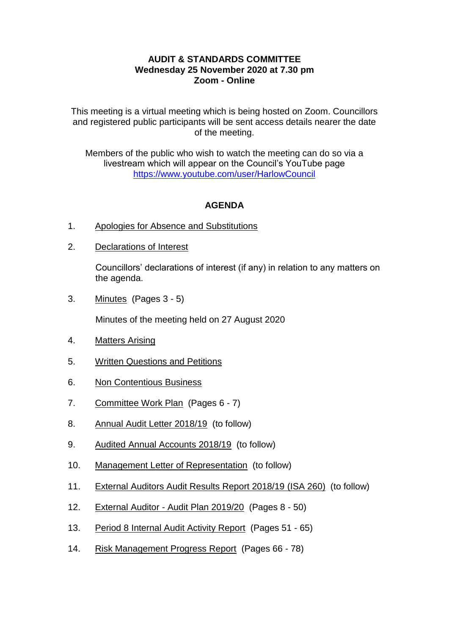## **AUDIT & STANDARDS COMMITTEE Wednesday 25 November 2020 at 7.30 pm Zoom - Online**

This meeting is a virtual meeting which is being hosted on Zoom. Councillors and registered public participants will be sent access details nearer the date of the meeting.

Members of the public who wish to watch the meeting can do so via a livestream which will appear on the Council's YouTube page <https://www.youtube.com/user/HarlowCouncil>

## **AGENDA**

- 1. Apologies for Absence and Substitutions
- 2. Declarations of Interest

Councillors' declarations of interest (if any) in relation to any matters on the agenda.

3. Minutes (Pages 3 - 5)

Minutes of the meeting held on 27 August 2020

- 4. Matters Arising
- 5. Written Questions and Petitions
- 6. Non Contentious Business
- 7. Committee Work Plan (Pages 6 7)
- 8. Annual Audit Letter 2018/19 (to follow)
- 9. Audited Annual Accounts 2018/19 (to follow)
- 10. Management Letter of Representation (to follow)
- 11. External Auditors Audit Results Report 2018/19 (ISA 260) (to follow)
- 12. External Auditor Audit Plan 2019/20 (Pages 8 50)
- 13. Period 8 Internal Audit Activity Report (Pages 51 65)
- 14. Risk Management Progress Report (Pages 66 78)